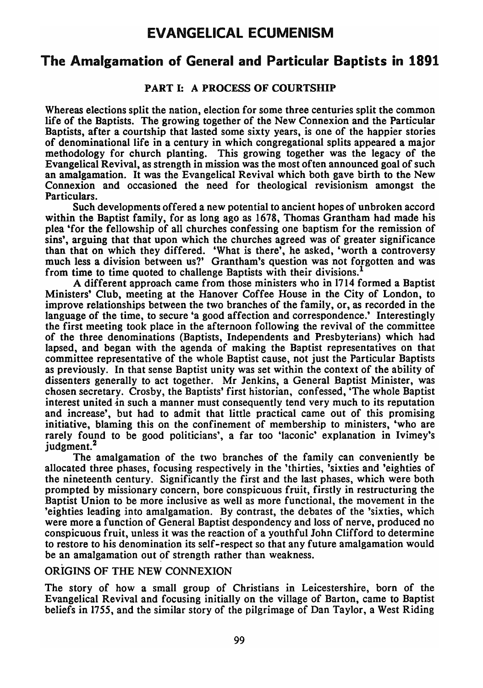## EVANGELICAL ECUMENISM

## The Amalgamation of General and Particular Baptists in 1091

## PART I: A PROCESS OF COURTSHIP

Whereas elections split the nation, election for some three centuries split the common life of the Baptists. The growing together of the New Connexion and the Particular Baptists, after a courtship that lasted some sixty years, is one of the happier stories of denominational life in a century in which congregational splits appeared a major methodology for church planting. This growing together was the legacy of the Evangelical Revival, as strength in mission was the most often announced goal of such an amalgamation. It was the Evangelical Revival which both gave birth to the New Connexion and occasioned the need for theological revisionism amongst the Particulars.

Such developments offered a new potential to ancient hopes of unbroken accord within the Baptist family, for as long ago as 1678, Thomas Grantham had made his plea 'for the fellowship of all churches confessing one baptism for the remission of sins', arguing that that upon which the churches agreed was of greater significance than that on which they differed. 'What is there', he asked, 'worth a controversy much less a division between us?' Grantham's question was not forgotten and was from time to time quoted to challenge Baptists with their divisions.<sup>1</sup>

A different approach came from those ministers who in 1714 formed a Baptist Ministers' Club, meeting at the Hanover Coffee House in the City of London, to improve relationships between the two branches of the family, or, as recorded in the language of the time, to secure 'a good affection and correspondence.' Interestingly the first meeting took place in the afternoon following the revival of the committee of the three denominations (Baptists, Independents and Presbyterians) which had lapsed, and began with the agenda of making the Baptist representatives on that committee representative of the whole Baptist cause, not just the Particular Baptists as previously. In that sense Baptist unity was set within the context of the ability of dissenters generally to act together. Mr Jenkins chosen secretary. Crosby, the Baptists' first historian, confessed, 'The whole Baptist interest united in such a manner must consequently tend very much to its reputation and increase', but had to admit that little practical came out of this promising initiative, blaming this on the confinement of membership to ministers, 'who are rarely found to be good politicians', a far too 'laconic' explanation in Ivimey's judgment.<sup>2</sup>

The amalgamation of the two branches of the family can conveniently be allocated three phases, focusing respectively in the 'thirties, 'sixties and 'eighties of the nineteenth century. Significantly the first and the last phases, which were both prompted by missionary concern, bore conspicuous fruit, firstly in restructuring the Baptist Union to be more inclusive as well as more functional, the movement in the 'sighties leading into amalgamation. By contrast, the debates of the 'sighties, which were more a function of General Baptist despondency and loss of nerve, produced no conspicuous fruit, unless it was the reaction of a youthful John Clifford to determine to restore to his denomination its self-respect so that any future amalgamation would be an amalgamation out of strength rather than weakness.

## ORiGINS OF THE NEW CONNEXION

The story of how a small group of Christians in Leicestershire, born of the Evangelical Revival and focusing initially on the village of Barton, came to Baptist beliefs in 1755, and the similar story of the pilgrimage of Dan Taylor, a West Riding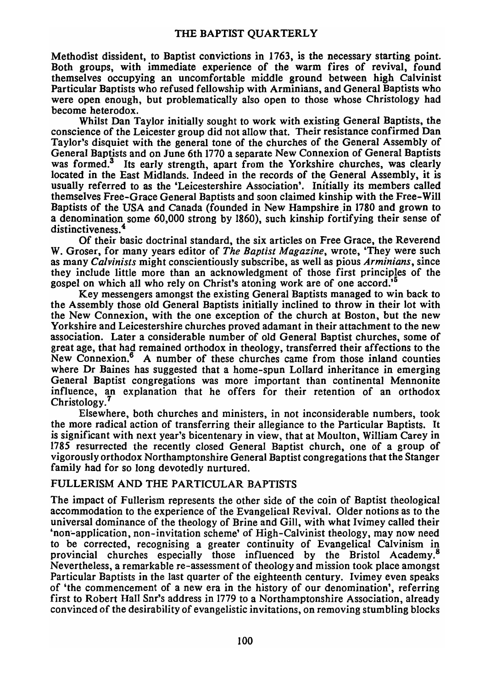Methodist dissident, to Baptist convictions in 1763, is the necessary starting point. Both groups, with immediate experience of the warm fires of revival, found themselves occupying an uncomfortable middle ground between high Calvinist Particular Baptists who refused fellowship with Arminians, and General Baptists who were open enough, but problematically also open to those whose Christology had become heterodox.

Whilst Dan Taylor initially sought to work with existing General Baptists, the conscience of the Leicester group did not allow that. Their resistance confirmed Dan Taylor's disquiet with the general tone of the churches of the General Assembly of General Baptists and on June 6th 1770 a separate New Connexion of General Baptists was formed.<sup>3</sup> Its early strength, apart from the Yorkshire churches, was clearly located in the East Midlands. Indeed in the records of the General Assembly, it is usually referred to as the 'Leicestershire Association'. Initially its members called themselves Free-Grace General Baptists and soon claimed kinship with the Free-Will Baptists of the USA and Canada (founded in New Hampshire in 1780 and grown to a denomination some 60,000 strong by 1860), such kinship fortifying their sense of distinctiveness.<sup>4</sup>

Of their basic doctrinal standard, the six articles on Free Grace, the Reverend W. Groser, for many years editor of *The Baptist Magazine,* wrote, 'They were such as many *Calvinists* might conscientiously subscribe, as well as pious *Arminians,* since they include little more than an acknowledgment of those first principles of the gospel on which all who rely on Christ's atoning work are of one accord.

Key messengers amongst the existing General Baptists managed to win back to the Assembly those old General Baptists initially inclined to throw in their lot with the New Connexion, with the one exception of the church at Boston, but the new<br>Yorkshire and Leicestershire churches proved adamant in their attachment to the new<br>association. Later a considerable number of old General Bap great age, that had remained orthodox in theology, transferred their affections to the New Connexion.<sup>6</sup> A number of these churches came from those inland counties where Dr Baines has suggested that a home-spun Lollard inheritance in emerging General Baptist congregations was more important than continental Mennonite influence, an explanation that he offers for their retention of an orthodox Christology.

Elsewhere, both churches and ministers, in not inconsiderable numbers, took the more radical action of transferring their allegiance to the Particular Baptists. It is significant with next year's bicentenary in view, that at Moulton, William Carey in 1785 resurrected the recently closed General Baptist church, one of a group of vigorously orthodox Northamptonshire General Baptist congregations that the Stanger family had for so long devotedly nurtured.

## FULLERISM AND THE PARTICULAR BAPTISTS

The impact of Fullerism represents the other side of the coin of Baptist theological accommodation to the experience of the Evangelical Revival. Older notions as to the universal dominance of the theology of Brine and Gill, with what Ivimey called their 'non-application, non-invitation scheme' of High-Calvinist theology, may now need to be corrected, recognising a greater continuity of Evangelical Calvinism in provincial churches especially those influenced by the Bristol Academy.<sup>8</sup> Nevertheless, a remarkable re-assessment of theology and mission took place amongst Particular Baptists in the last quarter of the eighteenth century. Ivimey even speaks of 'the commencement of a new era in the history of our denomination', referring first to Robert Hall Snr's address in 1779 to a Northamptonshire Association, already convinced of the desirability of evangelistic invitations, on removing stumbling blocks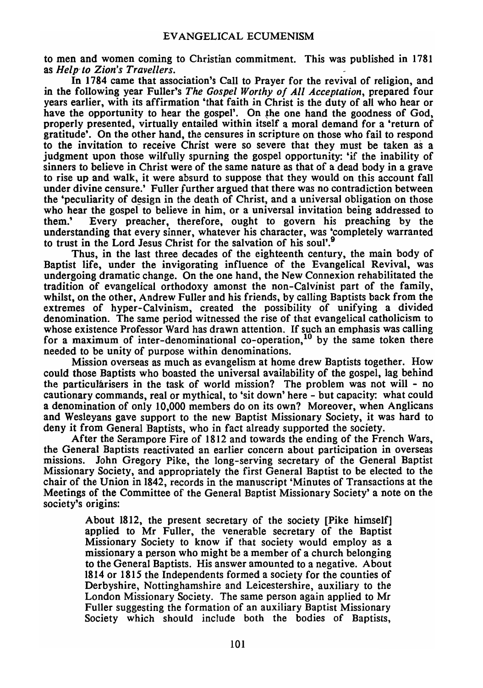to men and women coming to Christian commitment. This~ was published in 1781 as *Help,to Zion's Travellers.* 

In 1784 came that association's Call to Prayer for the revival of religion, and in the following year Fuller's *The Gospel Worthy of All Acceptation,* prepared four' years earlier, with its affirmation 'that faith in Christ is the duty of all who hear or have the opportunity to hear the gospel'. On the one hand the goodness of God, properly presented, virtually entailed within itself a moral demand for a 'return of gratitude'. On the other hand, the censures in scripture on those who fail to respond to the invitation to receive Christ were so severe that they must be taken as a judgment upon those wilfully spurning the gospel opportunity: 'if the inability of sinners to believe in Christ were of the same nature as that of a dead body in a grave to rise up and walk, it were absurd to suppose that they would on this account fall under divine censure.' Fuller further argued that there was no contradiction between the 'peculiarity of design in the death of Christ, and a universal obligation on those who hear the gospel to believe in him, or a universal invitation being addressed to them.' Every preacher, therefore, ought to govern his preaching by the understanding that every sinner, whatever his character, was 'completely warranted to trust in the Lord Jesus Christ for the salvation of his soul'.<sup>9</sup>

Thus, in the last three decades of the eighteenth century, the main body of Baptist life, under the invigorating influence of the Evangelical Revival, was undergoing dramatic change. On the one hand, the New Connexion rehabilitated the tradition of evangelical orthodoxy amonst the non-Calvinist part of the family, whilst, on the other, Andrew Fuller and his friends, by calling Baptists back from the extremes of hyper-Calvinism, created the possibility of unifying a divided denomination. The same period witnessed the rise of that evangelical catholicism to whose existence Professor Ward has drawn attention. If such an emphasis was calling for a maximum of inter-denominational co-operation,<sup>10</sup> by the same token there needed to be unity of purpose within denominations.

Mission overseas as much as evangelism at home drew Baptists together. How could those Baptists who boasted the universal availability of the gospel, lag behind the particularisers in the task of world mission? The problem was not will - no cautionary commands, real or mythical, to 'sit down' here - but capacity: what could a denomination of only 10,000 members do on its own? Moreover, when Anglicans and Wesleyans gave support to the new Baptist Missionary Society, it was hard to deny it from General Baptists, who in fact already supported the society.

After the Serampore Fire of 1812 and towards the ending of the French Wars, the General Baptists reactivated an earlier concern about participation. in overseas missions. John Gregory Pike, the long-serving secretary of the General Baptist Missionary Society, and appropriately the first General Baptist to be elected to the chair of the Union in 1842, records in the manuscript 'Minutes of Transactions at the Meetings of the Committee of the General Baptist Missionary Society' a note on the society's origins:

> About 1812, the present secretary of the society [Pike himself] applied to Mr Fuller, the venerable secretary of the Baptist Missionary Society to know if that society would employ as a missionary a person who might be a member of a church belonging to the General Baptists. His answer amounted to a negative. About 1814 or 1815 the Independents formed a society for the counties of Derbyshire, Nottinghamshire and Leicestershire, auxiliary to the London Missionary Society. The same person again applied to Mr Fuller suggesting the formation of an auxiliary Baptist Missionary Society which should include both the bodies of Baptists,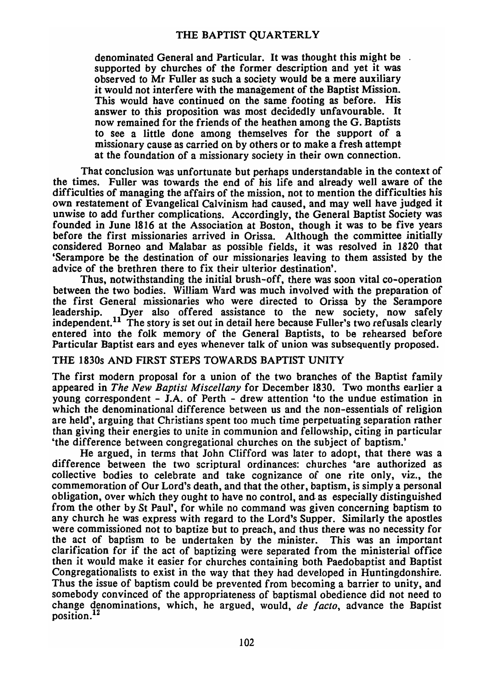denominated General and Particular. It was thought this might be supported by churches of the former description and yet it was observed to Mr Fuller as such a society would be a mere auxiliary it would not interfere with the management of the Baptist Mission. This would have continued on the same footing as before. His answer to this proposition was most decidedly unfavourable. It now remained for the friends of the heathen among the G. Baptists to see a little done among themselves for the support of a missionary cause as carried on by others or to make a fresh attempt at the foundation of a missionary society in their own connection.

That conclusion was unfortunate but perhaps understandable in the context of the times. Fuller was towards the end of his life and already well aware of the difficulties of managing the affairs of the mission, not to mention the difficulties his own restatement of Evangelical Calvinism had caused, and may well have judged it unwise to add further complications. Accordingly, the General Baptist Society was founded in June 1816 at the Association at Boston, though it was to be five years before the first missionaries arrived in Orissa. Although the committee initially considered Borneo and Malabar as possible fields, it was resolved in 1820 that 'Serampore be the destination of our missionaries leaving to them assisted by the advice of the brethren there to fix their ulterior destination'.

Thus, notwithstanding the initial brush-off, there was soon vital co-operation between the two bodies. William Ward was much involved with the preparation of the first General missionaries who were directed to Orissa by the Serampore leadership. Dyer also offered assistance to the new society, now safely independent.<sup>11</sup> The story is set out in detail here because Fuller's two refusals clearly entered into the folk memory of the General Baptists, to be rehearsed before Particular Baptist ears and eyes whenever talk of union was subsequently proposed.

## THE 1830s AND FIRST STEPS TOWARDS BAPTIST UNITY

The first modern proposal for a union of the two branches of the Baptist family appeared in *The New Baptist Miscellany* for December 1830. Two months earlier a young correspondent - J.A. of Perth - drew attention 'to the undue estimation in which the denominational difference between us and the non-essentials of religion are held', arguing that Christians spent too much time perpetuating separation rather than giving their energies to unite in communion and fellowship, citing in particular 'the difference between congregational churches on the subject of baptism.'

He argued, in terms that John Clifford was later to adopt, that there was a difference between the two scriptural ordinances: churches 'are authorized as collective bodies to celebrate and take cognizance of one rite only, viz., the commemoration of Our Lord's death, and that the other, baptism, is simply a personal obligation, over which they ought to have no control, and as especially distinguished from the other by St Paul', for while no command was given concerning baptism to any church he was express with regard to the Lord's Supper. Similarly the apostles were commissioned not to baptize but to preach, and thus there was no necessity for the act of baptism to be undertaken by the minister. This was an important clarification for if the act of baptizing were separated from the ministerial office then it would make it easier for churches containing both Paedobaptist and Baptist Congregationalists to exist in the way that they had developed in Huntingdonshire. Thus the issue of baptism could be prevented from becoming a barrier to unity, and somebody convinced of the appropriateness of baptismal obedience did not need to microcy convinced of the appropriateness of baptismal obedience did not held to<br>hange denominations, which, he argued, would, *de facto*, advance the Baptist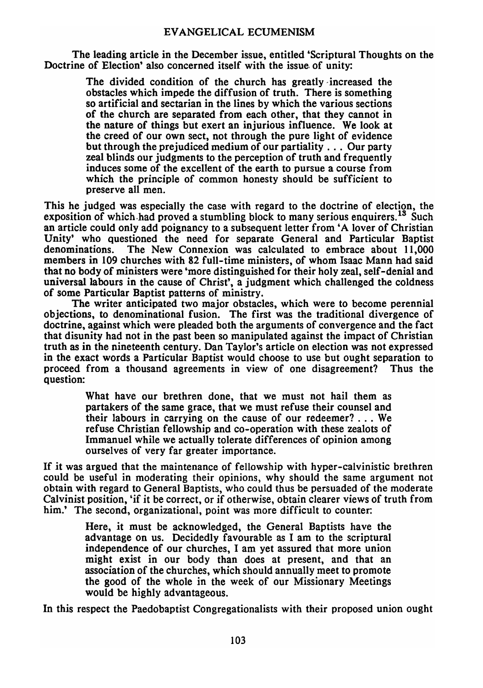The leading article in the December issue, entitled 'Scriptural Thoughts on the Doctrine of Election' also concerned itself with the issue, of unity:

> The divided condition of the church has greatly-increased the obstacles which impede the diffusion of truth. There is something so artificial and sectarian in the lines by which the various sections of the church are separated from each other, that they cannot in the nature of things but exert an injurious influence. We look at the creed of our own sect, not through the pure light of evidence but through the prejudiced medium of our partiality ... Our party zeal blinds our judgments to the perception of truth and frequently induces some of the excellent of the earth to pursue a course from which the principle of common honesty should be sufficient to preserve all men.

This he judged was especially the case with regard to the doctrine of election, the exposition of which had proved a stumbling block to many serious enquirers.<sup>13</sup> Such an article could only add poignancy to a subsequent letter from 'A lover of Christian Unity' who questioned the need for separate General and Particular Baptist denominations. The New Connexion was calculated to embrace about ll,OOO members in 109 churches with 82 full-time ministers, of whom Isaac Mann had said that no body of ministers were 'more distinguished for their holy zeal, self-denial and universal labours in the cause of Christ', a judgment which challenged the coldness of some Particular Baptist patterns of ministry.

The writer anticipated two major obstacles, which were to become perennial objections, to denominational fusion. The first was the traditional divergence of doctrine, against which were pleaded both the arguments of convergence and the fact that disunity had not in the past been so manipulated against the impact of Christian truth as in the nineteenth century. Dan Taylor's article on election was not expressed in the exact words a Particular Baptist would choose to use but ought separation to proceed from a thousand agreements in view of one disagreement? Thus the question:

> What have our brethren done, that we must not hail them as partakers of the same grace, that we must refuse their counsel and their labours in carrying on the cause of our redeemer? ... We refuse Christian fellowship and co-operation with these zealots of Immanuel while we actually tolerate differences of opinion among ourselves of very far greater importance.

If it was argued that the maintenance of fellowship with hyper-calvinistic brethren could be useful in moderating their opinions, why should the same argument not obtain with regard to General Baptists, who could thus be persuaded of the moderate Calvinist position, 'if it be correct, or if otherwise, obtain clearer views of truth from him.' The second, organizational, point was more difficult to counter:

> Here, it must be acknowledged, the General Baptists have the advantage on us. Decidedly favourable as I am to the scriptural independence of our churches, I am yet assured that more union might exist in our body than does at present, and that an association of the churches, which should annually meet to promote the good of the whole in the week of our Missionary Meetings would be highly advantageous.

In this respect the Paedobaptist Congregationalists with their proposed union ought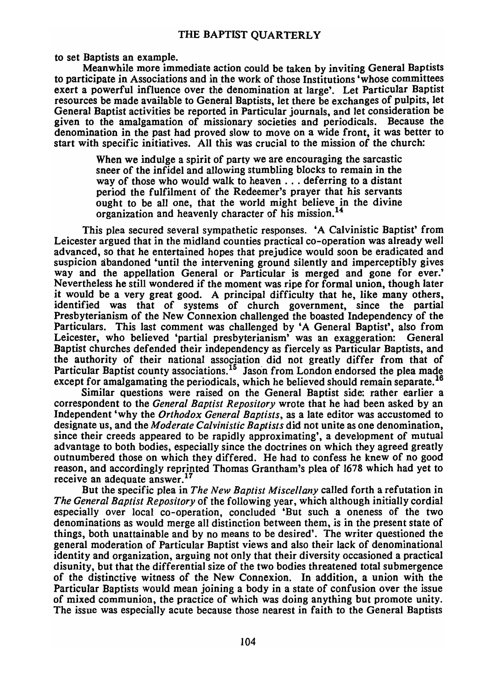to set Baptists an example.

Meanwhile more immediate action could be taken by inviting General Baptists to participate in Associations and in the work of those Institutions 'whose committees exert a powerful influence over the denomination at large'. Let Particular Baptist resources be made available to General Baptists, let there be exchanges of pulpits, let General Baptist activities be reported in Particular journals, and let consideration be given to the amalgamation of missionary societies and periodicals. Because the denomination in the past had proved slow to move on a wide front, it was better to start with specific initiatives. All this was crucial to the mission of the church:

> When we indulge a spirit of party we are encouraging the sarcastic First we mutuge a spirit of party we are encouraging the sarcastic<br>neer of the infidel and allowing stumbling blocks to remain in the<br>pay of those who would walk to heaven ... deferring to a distant way of those who would walk to heaven . . . deferring to a distant period the fulfilment of the Redeemer's prayer that his servants ought to be all one, that the world might believe in the divine organization and heavenly character of his mission. <sup>14</sup>

This plea secured several sympathetic responses. 'A Calvinistic Baptist' from Leicester argued that in the midland counties practical co-operation was already well advanced, so that he entertained hopes that prejudice would soon be eradicated and suspicion abandoned 'until the intervening ground silently and imperceptibly gives way and the appellation General or Particular is merged and gone for ever.' Nevertheless he still wondered if the moment was ripe for formal union, though later it would be a very great good. A principal difficulty that he, like many others, identified was that of systems of church government, since the partial Presbyterianism of the New Connexion challenged the boasted Independency of the Particulars. This last comment was challenged by 'A General Baptist', also from Leicester, who believed 'partial presbyterianism' was an exaggeration: General Baptist churches defended their independency as fiercely as Particular Baptists, and the authority of their national association did not greatly differ from that of e authority of their national association did not greatly differ from that of<br>articular Baptist county associations.<sup>15</sup> Jason from London endorsed the plea made articular Baptist county associations.<sup>19</sup> Jason from London endorsed the piea made<br>xcept for amalgamating the periodicals, which he believed should remain separate.<sup>16</sup>

Similar questions were raised on the General Baptist side: rather earlier a correspondent to the *General Baptist Repository* wrote that he had been asked by an Independent 'why the *Orthodox General Baptists,* as a late editor was accustomed to designate us, and the *Moderate Calvinistic Baptists* did not unite as one denomination, since their creeds appeared to be rapidly approximating', a development of mutual advantage to both bodies, especially since the doctrines on which they agreed greatly outnumbered those on which they differed. He had to confess he knew of no good reason, and accordingly reprinted Thomas Grantham's plea of 1678 which had yet to receive an adequate answer.<sup>17</sup>

But the specific plea in *The New Baptist Miscellany* called forth a refutation in *The General Baptist Repository* of the following year, which although initially cordial especially over local co-operation, concluded 'But such a oneness of the two denominations as would merge all distinction between them, is in the present state of things, both unattainable and by no means to be desired'. The writer questioned the general moderation of Particular Baptist views and also their lack of denominational identity and organization, arguing not only that their diversity occasioned a practical disunity, but that the differential size of the two bodies threatened total submergence of the distinctive witness of the New Connexion. In addition, a union with the Particular Baptists would mean joining a body in a state of confusion over the issue of mixed communion, the practice of which was doing anything but promote unity. The issue was especially acute because those nearest in faith to the General Baptists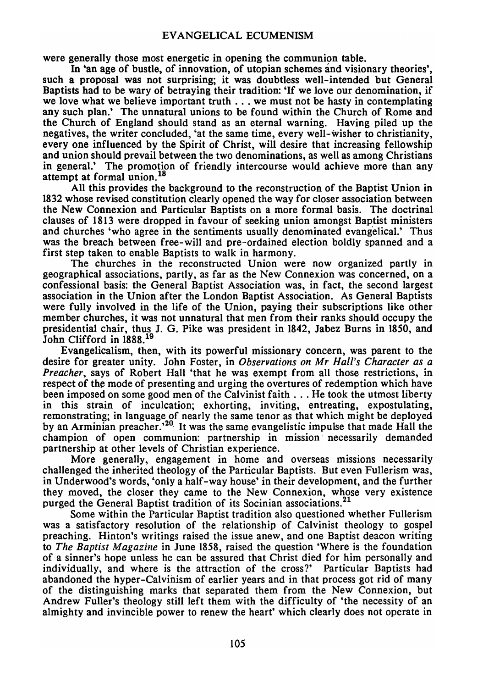were generally those most energetic in opening the communion table.

In 'an age of bustle, of innovation, of utopian schemes and visionary theories', such a proposal was not surprising; it was doubtless well-intended but General Baptists had to be wary of betraying their tradition: 'If we love our denomination, if we love what we believe important truth ... we must not be hasty in contemplating any such plan.' The unnatural unions to be found within the Church of Rome and the Church of England should stand as an eternal warning. Having piled up the negatives, the writer concluded, 'at the same time, every well-wisher to christianity, every one influenced by the Spirit of Christ, will desire that increasing fellowship and union should prevail between the two denominations, as well as among Christians in general.' The promotion of friendly intercourse would achieve more than any attempt at formal union.<sup>18</sup>

All this provides the background to the reconstruction of the Baptist Union in 1832 whose revised constitution clearly opened the way for closer association between the New Connexion and Particular Baptists on a more formal basis. The doctrinal clauses of 1813 were dropped in favour of seeking union amongst Baptist ministers and churches 'who agree in the sentiments usually denominated evangelical.' Thus was the breach between free-will and pre-ordained election boldly spanned and a first step taken to enable Baptists to walk in harmony.

The churches in the reconstructed Union were now organized partly in geographical associations, partly, as far as the New Connexion was concerned, on a confessional basis: the General Baptist Association was, in fact, the second largest association in the Union after the London Baptist Association. As General Baptists were fully involved in the life of the Union, paying their subscriptions like other member churches, it was not unnatural that men from their ranks should occupy the presidential chair, thus J. G. Pike was president in 1842, Jabez Burns in 1850, and John Clifford in 1888.<sup>19</sup>

Evangelicalism, then, with its powerful missionary concern, was parent to the desire for greater unity. John Foster, in *Observations on Mr Hall's Character as a Preacher,* says of Robert Hall 'that he was exempt from all those restrictions, in respect of the mode of presenting and urging the overtures of redemption which have been imposed on some good men of the Calvinist faith ... He took the utmost liberty in this strain of inculcation; exhorting, inviting, entreating, expostulating, remonstrating; in language of nearly the same tenor as that which might be deployed by an Arminian preacher.'20 It was the same evangelistic impulse that made Hall the champion of open communion: partnership in mission' necessarily demanded partnership at other levels of Christian experience.

More generally, engagement in home and overseas missions necessarily challenged the inherited theology of the Particular Baptists. But even Fullerism was, in Underwood's words, 'only a half-way house' in their development, and the further they moved, the closer they came to the New Connexion, whose very existence purged the General Baptist tradition of its Socinian associations.<sup>21</sup>

Some within the Particular Baptist tradition also questioned whether Fullerism was a satisfactory resolution of the relationship of Calvinist theology to gospel preaching. Hinton's writings raised the issue anew, and one Baptist deacon writing to *The Baptist Magazine* in June 1858, raised the question 'Where is the foundation of a sinner's hope unless he can be assured that Christ died for him personally and individually, and where is the attraction of the cross?' Particular Baptists had abandoned the hyper-Calvinism of earlier years and in that process got rid of many of the distinguishing marks that separated them from the New Connexion, but Andrew Fuller's theology still left them with the difficulty of 'the necessity of an almighty and invincible power to renew the heart' which clearly does not operate in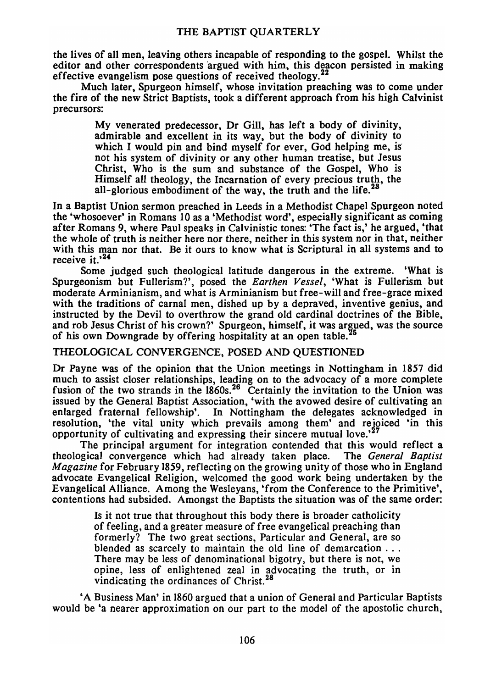## THE BAPTIST QUARTERLY

the lives of all men, leaving others incapable of responding to the gospel. Whilst the editor and other correspondents argued with him, this deacon persisted in making effective evangelism pose questions of received theology.<sup>22</sup>

Much later, Spurgeon himself, whose invitation preaching was to come under the fire of the new Strict Baptists, took a different approach from his high Calvinist precursors:

> My venerated predecessor, Dr Gill, has left a body of divinity,. admirable and excellent in its way, but the body of divinity to which I would pin and bind myself for ever, God helping me, is not his system of divinity or any other human treatise, but Jesus Christ, Who is the sum and substance of the Gospel, Who is Himself all theology, the Incarnation of every precious truth, the all-glorious embodiment of the way, the truth and the life. $^{23}$

In a Baptist Union sermon preached in Leeds in a Methodist Chapel Spurgeon noted the 'whosoever' in Romans 10 as a 'Methodist word', especially significant as coming after Romans 9, where Paul speaks in Calvinistic tones: 'The fact is,' he argued, 'that the whole of truth is neither here nor there, neither in this system nor in that, neither with this man nor that. Be it ours to know what is Scriptural in all systems and to receive it.<sup>'24</sup>

Some judged such theological latitude dangerous in the extreme. 'What is Spurgeonism but Fullerism?', posed the *Earthen Vessel,* 'What is Fullerism but moderate Arminianism, and what is Arminianism but free-will and free-grace mixed with the traditions of carnal men, dished up by a depraved, inventive genius, and instructed by the Devil to overthrow the grand old cardinal doctrines of the Bible, and rob Jesus Christ of his crown?' Spurgeon, himself, it was argued, was the source of his own Downgrade by offering hospitality at an open table.  $25$ 

## THEOLOGICAL CONVERGENCE, POSED AND QUESTIONED

Dr Payne was of the opinion that the Union meetings in Nottingham in 1857 did much to assist closer relationships, leading on to the advocacy of a more complete fusion of the two strands in the  $1860s<sup>26</sup>$  Certainly the invitation to the Union was issued by the General Baptist Association, 'with the avowed desire of cultivating an enlarged fraternal fellowship'. In Nottingham the delegates acknowledged in resolution, 'the vital unity which prevails among them' and rejoiced 'in this opportunity of cultivating and expressing their sincere mutual love.<sup> $2$ </sup>

The principal argument for integration contended that this would reflect a theological convergence which had already taken place. The *General Baptist Magazine* for February 1859, reflecting on the growing unity of those who in England advocate Evangelical Religion, welcomed the good work being undertaken by the Evangelical Alliance. Among the Wesleyans, 'from the Conference to the Primitive', contentions had subsided. Amongst the Baptists the situation was of the same order:

> Is it not true that throughout this body there is broader catholicity of feeling, and a greater measure of free evangelical preaching than formerly? The two great sections, Particular and General, are so blended as scarcely to maintain the old line of demarcation ... There may be less of denominational bigotry, but there is not, we opine, less of enlightened zeal in advocating the truth, or in vindicating the ordinances of Christ.<sup>28</sup>

'A Business Man' in 1860 argued that a union of General and Particular Baptists would be 'a nearer approximation on our part to the model of the apostolic church,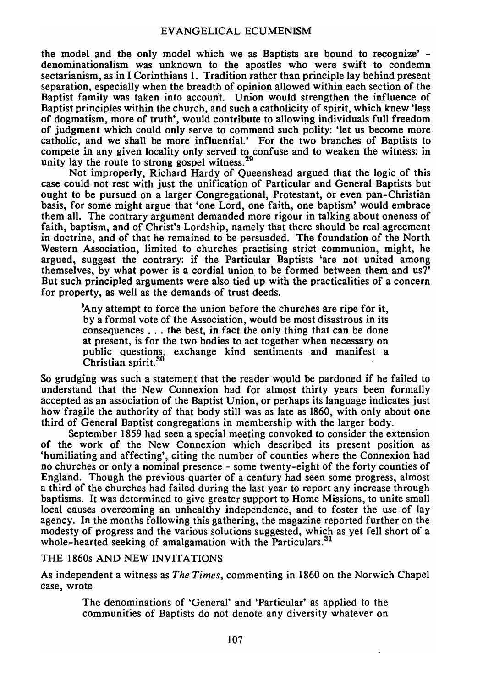## EVANGELICAL ECUMENISM

the model and the only model which we as Baptists are bound to recognize' denominationalism was unknown to the apostles who were swift to condemn sectarianism, as in I Corinthians 1. Tradition rather than principle lay behind present separation, especially when the breadth of opinion allowed within each section of the Baptist family was taken into account. Union would strengthen the influence of Baptist principles within the church, and such a catholicity of spirit, which knew 'less of dogmatism, more of truth', would contribute to allowing individuals full freedom of judgment which could only serve to commend such polity: 'let us become more catholic, and we shall be more influential.' For the two branches of Baptists to compete in any given locality only served to confuse and to weaken the witness: in unity lay the route to strong gospel witness.<sup>29</sup>

Not improperly, Richard Hardy of Queenshead argued that the logic of this case could not rest with just the unification of Particular and General Baptists but ought to be pursued on a larger Congregational, Protestant, or even pan-Christian basis, for some might argue that 'one Lord, one faith, one baptism' would embrace them all. The contrary argument demanded more rigour in talking about oneness of faith, baptism, and of Christ's Lordship, namely that there should be real agreement in doctrine, and of that he remained to be persuaded. The foundation of the North Western Association, limited to churches practising strict communion, might, he argued, suggest the contrary: if the Particular Baptists 'are not united among themselves, by what power is a cordial union to be formed between them and us?' But such principled arguments were also tied up with the practicalities of a concern for property, as well as the demands of trust deeds.

> Any attempt to force the union before the churches are ripe for it. by a formal vote of the Association, would be most disastrous in its consequences . . . the best, in fact the only thing that can be done at present, is for the two bodies to act together when necessary on public questions, exchange kind sentiments and manifest a Christian spirit.<sup>30</sup>

So grudging was such a statement that the reader would be pardoned if he failed to understand that the New Connexion had for almost thirty years been formally accepted as an association of the Baptist Union, or perhaps its language indicates just how fragile the authority of that body still was as late as 1860, with only about one third of General Baptist congregations in membership with the larger body.

September 1859 had seen a special meeting convoked to consider the extension of the work of the New Connexion which described its present position as 'humiliating and affecting', citing the number of counties where the Connexion had no churches or only a nominal presence - some twenty-eight of the England. Though the previous quarter of a century had seen some progress, almost a third of the churches had failed during the last year to report any increase through baptisms. It was determined to give greater support to Home Missions, to unite small local causes overcoming an unhealthy independence, and to foster the use of lay agency. In the months following this gathering, the magazine reported further on the modesty of progress and the various solutions suggested, which as yet fell short of a whole-hearted seeking of amalgamation with the Particulars.<sup>31</sup>

#### THE 1860s AND NEW INVITATIONS

As independent a witness as *The Times,* commenting in 1860 on the Norwich Chapel case, wrote

> The denominations of 'General' and 'Particular' as applied to the communities of Baptists do not denote any diversity whatever on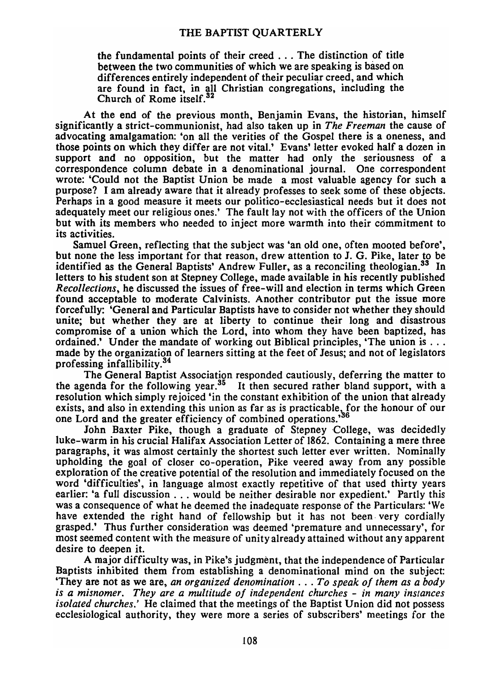the fundamental points of their creed ... The distinction of title between the two communities of which we are speaking is based on differences entirely independent of their peculiar creed, and which are found in fact, in all Christian congregations, including the Church of Rome itself.<sup>32</sup>

At the end of the previous month, Benjamin Evans, the historian, himself significantly a strict-communionist, had also taken up in *The Freeman* the cause of advocating amalgamation: 'on all the verities of the Gospel there is a oneness, and those points on which they differ are not vital.' Evans' letter evoked half a dozen in support and no opposition, but the matter had only the seriousness of a correspondence column debate in a denominational journal. One correspondent wrote: 'Could not the Baptist Union be made a most valuable agency for such a purpose? I am already aware that it already professes to seek some of these objects. Perhaps in a good measure it meets our politico-ecclesiastical needs but it does not adequately meet our religious ones.' The fault lay not with the officers of the Union but with its members who needed to inject more warmth into their commitment to its activities.

Samuel Green, reflecting that the subject was 'an old one, often mooted before', but none the less important for that reason, drew attention to J. G. Pike, later to be identified as the General Baptists' Andrew Fuller, as a reconciling theologian.<sup>33</sup> In letters to his student son at Stepney College, made available in his recently published *Recollections,* he discussed the issues of free-will and election in terms which Green found acceptable to moderate Calvinists. Another contributor put the issue more forcefully: 'General and Particular Baptists have to consider not whether they should unite; but whether they are at liberty to continue their long and disastrous compromise of a union which the Lord, into whom they have been baptized, has ordained.' Under the mandate of working out Biblical principles, 'The union is ... made by the organization of learners sitting at the feet of Jesus; and not of legislators professing infallibility.<sup>34</sup>

The General Baptist Association responded cautiously, deferring the matter to the agenda for the following year. $35$  It then secured rather bland support, with a resolution which simply rejoiced 'in the constant exhibition of the union that already exists, and also in extending this union as far as is practicable, for the honour of our one Lord and the greater efficiency of combined operations.'  $^{36}$ 

John Baxter Pike, though a graduate of Stepney College, was decidedly luke-warm in his crucial Halifax Association Letter of 1862. Containing a mere three paragraphs, it was almost certainly the shortest such letter ever written. Nominally upholding the goal of closer co-operation, Pike veered away from any possible exploration of the creative potential of the resolution and immediately focused on the word 'difficulties', in language almost exactly repetitive of that used thirty years earlier: 'a full discussion . . . would be neither desirable nor expedient.' Partly this was a consequence of what he deemed the inadequate response of the Particulars: 'We have extended the right hand of fellowship but it has not been. very cordially grasped.' Thus further consideration was deemed 'premature and unnecessary', for most seemed content with the measure of unity already attained without any apparent desire to deepen it.

A major difficulty was, in Pike's judgment, that the independence of Particular Baptists inhibited them from establishing a denominational mind on the subject: 'They are not as we are, *an organized denomination .* .. *To speak of them as a body is a misnomer. They are a multitude of independent churches - in many instances isolated churches.'* He claimed that the meetings of the Baptist Union did not possess ecclesiological authority, they were more a series of subscribers' meetings for the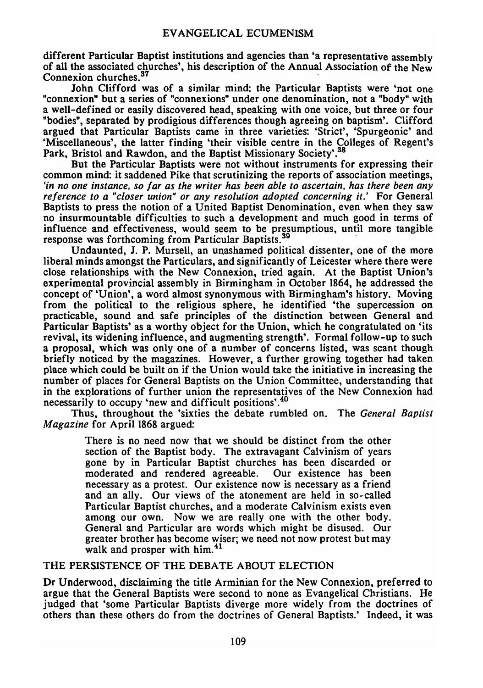different Particular Baptist institutions and agencies than 'a representative assembly Interent Farticular Baptist institutions and agencies than a representative assembly<br>f all the associated churches', his description of the Annual Association of the New<br>connexion churches.<sup>37</sup>

Connexion churches.<sup>37</sup><br>John Clifford was of a similar mind: the Particular Baptists were 'not one<br>"connexion" but a series of "connexions" under one denomination, not a "body" with<br>a well-defined or easily discovered hea "bodies", separated by prodigious differences though agreeing on baptism'. Clifford argued that Particular Baptists came in three varieties: 'Strict', 'Spurgeonic' and 'Miscellaneous', the latter finding 'their visible centre in the Colleges of Regent's Park, Bristol and Rawdon, and the Baptist Missionary Society'.<sup>38</sup>

But the Particular Baptists were not without instruments for expressing their common mind: it saddened Pike that scrutinizing the reports of association meetings, *'in no one instance, so far as the writer has been able to ascertain, has there been any reference to a "closer union" or any resolution adopted concerning it.'* For General Baptists to press the notion of a United Baptist Denomination, even when they saw no insurmountable difficulties to such a development and much good in terms of influence and effectiveness, would seem to be presumptious, until more tangible response was forthcoming from Particular Baptists.<sup>39</sup>

Undaunted, J. P. Mursell, an unashamed political dissenter, one of the more liberal minds amongst the Particulars, and significantly of Leicester where there were close relationships with the New Connexion, tried again. At the Baptist Union's experimental provincial assembly in Birmingham in October 1864, he addressed the concept of 'Union', a word almost synonymous with Birmingham's history. Moving from the political to the religious sphere, he identified 'the supercession on practicable, sound and safe principles of the distinction between General and Particular Baptists' as a worthy object for the Union, which he congratulated on 'its revival, its widening influence, and augmenting strength'. Formal follow-up to such a proposal, which was only one of a number of concerns listed, was scant though briefly noticed by the magazines. However, a further growing together had taken place which could be built on if the Union would take the initiative in increasing the number of places for General Baptists on the Union Committee, understanding that in the explorations of further union the representatives of the New Connexion had necessarily to occupy 'new and difficult positions'.<sup>40</sup>

Thus, throughout the 'sixties the debate rumbled on. The *General Baptist Magazine* for April 1868 argued:

> There is no need now that we should be distinct from the other section of the Baptist body. The extravagant Calvinism of years gone by in Particular Baptist churches has been discarded or moderated and rendered agreeable. Our existence has been necessary as a protest. Our existence now is necessary as a friend and an ally. Our views of the atonement are held in so-called Particular Baptist churches, and a moderate Calvinism exists even among our own. Now we are really one with the other body. General and Particular are words which might be disused. Our greater brother has become wiser; we need not now protest but may walk and prosper with him.<sup>41</sup>

## THE PERSISTENCE OF THE DEBATE ABOUT ELECTION

Dr Underwood, disclaiming the title Arminian for the New Connexion, preferred to argue that the General Baptists were second to none as Evangelical Christians. He judged that 'some Particular Baptists diverge more widely from the doctrines of others than these others do from the doctrines of General Baptists.' Indeed, it was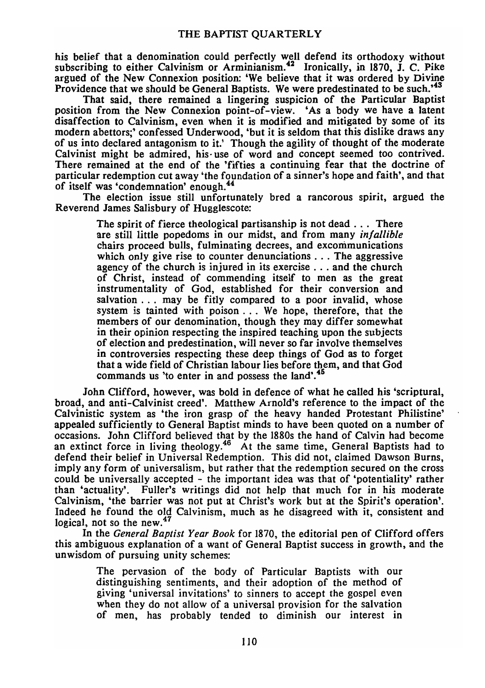his belief that a denomination could perfectly well defend its orthodoxy without subscribing to either Calvinism or Arminianism.<sup>42</sup> Ironically, in 1870, J. C. Pike argued of the New Connexion position: 'We believe that it was ordered by Divine Providence that we should be General Baptists. We were predestinated to be such.<sup>43</sup>

That said, there remained a lingering suspicion of the Particular Baptist position from the New Connexion point-of-view. 'As a body we have a latent disaffection to Calvinism, even when it is modified and mitigated by some of its modern abettors;' confessed Underwood, 'but it is seldom that this dislike draws any of us into declared antagonism to it.' Though the agility of thought of the .moderate Calvinist might be admired, his· use of word and concept seemed too contrived. There remained at the end of the 'fifties a continuing fear that the doctrine of particular redemption cut away 'the foundation of a sinner's hope and faith', and that of itself was 'condemnation' enough.<sup>44</sup>

The election issue stilI unfortunately bred a rancorous spirit, argued the Reverend James Salisbury of Hugglescote:

> The spirit of fierce theological partisanship is not dead. .. There are still little popedoms in our midst, and from many *infallible*  chairs proceed bulls, fulminating decrees, and excommunications which only give rise to counter denunciations . . . The aggressive agency of the church is injured in its exercise ... and the church of Christ, instead of commending itself to men as the great instrumentality of God, established for their conversion and salvation . . . may be fitly compared to a poor invalid, whose system is tainted with poison ... We hope, therefore, that the members of our denomination, though they may differ somewhat in their opinion respecting the inspired teaching upon the subjects of election and predestination, will never so far involve themselves in controversies respecting these deep things of God as to forget that a wide field of Christian labour lies before them, and that God commands us 'to enter in and possess the land'. $4$

John Clifford, however, was bold in defence of what he called his 'scriptural, broad, and anti-Calvinist creed'. Matthew Arnold's reference to the impact of the Calvinistic system as 'the iron grasp of the heavy handed Protestant Philistine' appealed sufficiently to General Baptist minds to have been quoted on a number of occasions. John Clifford believed that by the 1880s the hand of Calvin had become an extinct force in living theology.<sup>46</sup> At the same time, General Baptists had to defend their belief in Universal Redemption. This did not, claimed Dawson Burns, imply any form of universaIism, but rather that the redemption secured on the cross could be universally accepted - the important idea was that of 'potentiality' rather than 'actuality'. Fuller's writings did not help that much for in his moderate Calvinism, 'the barrier was not put at Christ's work but at the Spirit's operation'. Indeed he found the old Calvinism, much as he disagreed with it, consistent and logical, not so the new. $47$ 

In the *General Baptist Year Book* for 1870, the editorial pen of Clifford offers this ambiguous explanation of a want of General Baptist success in growth, and the unwisdom of pursuing unity schemes:

> The pervasion of the body of Particular Baptists with our distinguishing sentiments, and their adoption of the method of giving 'universal invitations' to sinners to accept the gospel even when they do not allow of a universal provision for the salvation of men, has probably tended to diminish our interest in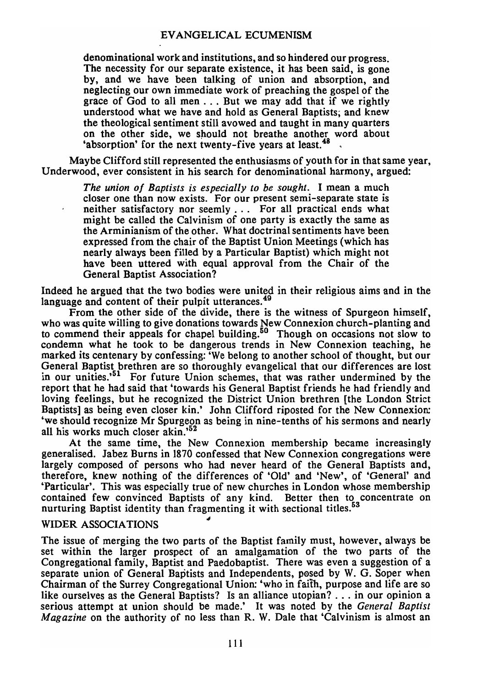## EVANGELICAL ECUMENISM

denominational work and institutions, and so hindered our progress. The necessity for our separate existence, it has been said, is gone by, and we have been talking of union and absorption, and neglecting our own immediate work of preaching the gospel of the grace of God to all men ... But we may add that if we rightly understood what we have and hold as General Baptists; and knew the theological sentiment still avowed and taught in many quarters on the other side, we should not breathe another word about 'absorption' for the next twenty-five years at least. $48$ 

Maybe Clifford still represented the enthusiasms of youth for in that same year, Underwood, ever consistent in his search for denominational harmony, argued:

> *The union of Baptists is especially to be sought.* I mean a much closer one than now exists. For our present semi-separate state is neither satisfactory nor seemly. .. For all practical ends what might be called the Calvinism of one party is exactly the same as the Arminianism of the other. What doctrinal sentiments have been expressed from the chair of the Baptist Union Meetings (which has nearly always been filled by a Particular Baptist) which might not have been uttered with equal approval from the Chair of the General Baptist Association?

Indeed he argued that the two bodies were united in their religious aims and in the language and content of their pulpit utterances. $4$ 

From the other side of the divide, there is the witness of Spurgeon himself, who was quite willing to give donations towards New Connexion church-planting and to commend their appeals for chapel building.<sup>50</sup> Though on occasions not slow to condemn what he took to be dangerous trends in New Connexion teaching, he marked its centenary by confessing: 'We belong to another school of thought, but our General Baptist brethren are so thoroughly evangelical that our differences are lost in our unities.<sup>51</sup> For future Union schemes, that was rather undermined by the report that he had said that 'towards his General Baptist friends he had friendly and loving feelings, but he recognized the District Union brethren [the London Strict Baptists] as being even closer kin.' John Ciifford riposted for the New Connexion: 'we should recognize Mr Spurgeon as being in nine-tenths of his sermons and nearly all his works much closer akin.'52

At the same time, the New Connexion membership became increasingly generalised. Jabez Burns in 1870 confessed that New Connexion congregations were largely composed of persons who had never heard of the General Baptists and, therefore, knew nothing of the differences of 'Old' and 'New', of 'General' and 'Particular'. This was especially true of new churches in London whose membership contained few convinced Baptists of any kind. Better then to concentrate on nurturing Baptist identity than fragmenting it with sectional titles.<sup>53</sup>

## WIDER ASSOCIATIONS

The issue of merging the two parts of the Baptist family must, however, always be set within the larger prospect of an amalgamation of the two parts of the Congregational family, Baptist and Paedobaptist. There was even a suggestion of a separate union of General Baptists and Independents, posed by W. G. Soper when Chairman of the Surrey Congregational Union: 'who in faith, purpose and life are so like ourselves as the General Baptists? Is an alliance utopian? ... in our opinion a serious attempt at union should be made.' It was noted by the *General Baptist Magazine* on the authority of no less than R. W. Dale that 'Calvinism is almost an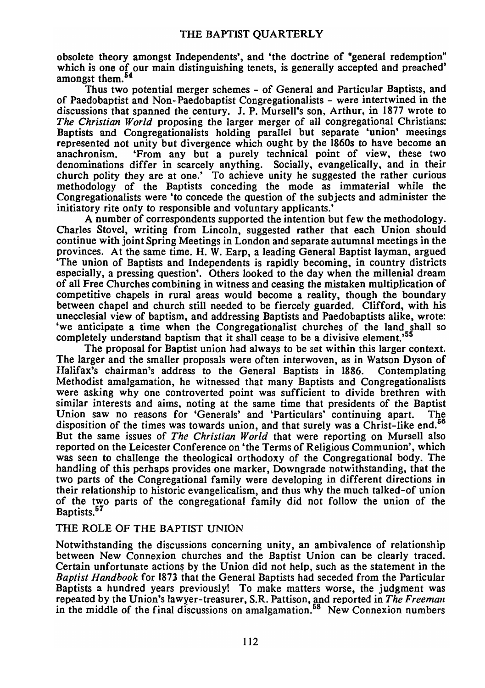obsolete theory amongst Independents', and 'the doctrine of "general redemption" which is one of our main distinguishing tenets, is generally accepted and preached' amongst them.<sup>64</sup>

Thus two potential merger schemes - of General and Particular Baptists, and of Paedobaptist and Non-Paedobaptist Congregationalists - were intertwined in the discussions that spanned the century. J. P. Mursell's son, Arthur, in 1877 wrote to *The Christian World* proposing the larger merger of all congregational Christians: Baptists and Congregationalists holding parallel but separate 'union' meetings represented not unity but divergence which ought by the 1860s to have become an anachronism. 'From any but a purely technical point of view, these two denominations differ in scarcely anything. Socially, evangelically, and in their church polity they are at one.' To achieve unity he suggested the rather curious methodology of the Baptists conceding the mode as immaterial while the Congregationalists were 'to concede the question of the subjects and administer the initiatory rite only to responsible and voluntary applicants.'

A number of correspondents supported the intention but few the methodology. Charles Stovel, writing from Lincoln, suggested rather that each Union should continue with joint Spring Meetings in London and separate autumnal meetings in the provinces. At the same time. H. W. Earp, a leading General Baptist layman, argued 'The union of Baptists and Independents is rapidly becoming, in country districts especially, a pressing question'. Others looked to the day when the millenial dream of all Free Churches combining in witness and ceasing the mistaken multiplication of competitive chapels in rural areas would become a reality, though the boundary between chapel and church still needed to be fiercely guarded. Clifford, with his unecclesial view of baptism, and addressing Baptists and Paedobaptists alike, wrote: 'we anticipate a time when the Congregationalist churches of the land shall so completely understand baptism that it shall cease to be a divisive element.'55

The proposal for Baptist union had always to be set within this larger context. The larger and the smaller proposals were often interwoven, as in Watson Dyson of Halifax's chairman's address to the General Baptists in 1886. Contemplating Methodist amalgamation, he witnessed that many Baptists and Congregationalists were asking why one controverted point was sufficient to divide brethren with similar interests and aims, noting at the same time that presidents of the Baptist Union saw no reasons for 'Generals' and 'Particulars' continuing apart. The disposition of the times was towards union, and that surely was a Christ-like end.<sup>56</sup> But the same issues of *The Christian World* that were reporting on Mursell also reported on the Leicester Conference on 'the Terms of Religious Communion', which was seen to challenge the theological orthodoxy of the Congregational body. The handling of this perhaps provides one marker, Downgrade notwithstanding, that the two parts of the Congregational family were developing in different directions in their relationship to historic evangelicalism, and thus why the much talked-of union of the two parts of the congregational family did not follow the union of the Baptists.<sup>57</sup>

## THE ROLE OF THE BAPTIST UNION

Notwithstanding the discussions concerning unity, an ambivalence of relationship between New Connexion churches and the Baptist Union can be clearly traced. Certain unfortunate actions by the Union did not help, such as the statement in the *Baptist Handbook* for 1873 that the General Baptists had seceded from the Particular Baptists a hundred years previously! To make matters worse, the judgment was repeated by the Union's lawyer-treasurer, S.R. Pattison, and reported in *The Freeman*  in the middle of the final discussions on amalgamation.<sup>58</sup> New Connexion numbers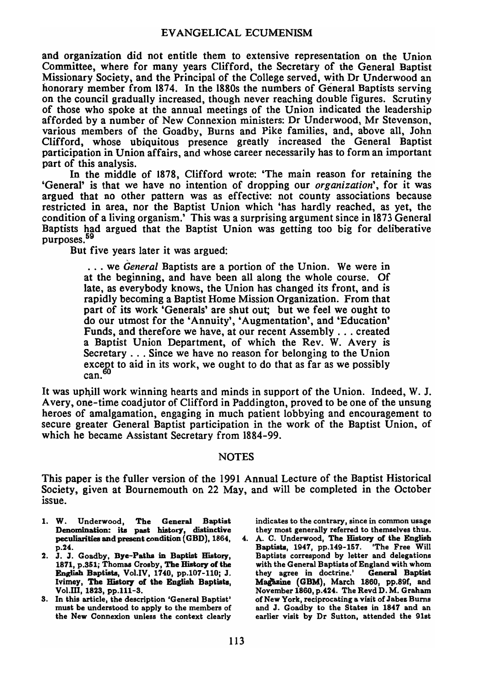and organization did not entitle them to extensive representation on the Union Committee, where for many years Clifford, the Secretary of the General Baptist Missionary Society, and the Principal of the College served, with Dr Underwood an honorary member from 1874. In the 1880s the numbers of General Baptists serving on the council gradually increased, though never reaching do of those who spoke at the annual meetings of the Union indicated the leadership afforded by a number of New Connexion ministers: Dr Underwood, Mr Stevenson, various members of the Goadby, Burns and Pike families, and, above all, John Clifford, whose ubiquitous presence greatly increased the General Baptist participation in Union affairs, and whose career necessarily has to form an important part of this analysis.

In the middle of 1878, Clifford wrote: 'The main reason for retaining the 'General' is that we have no intention of dropping our *organization',* for it was argued that no other pattern was as effective: not county associations because restricted in area, nor the Baptist Union which 'has hardly reached, as yet, the condition of a living organism.' This was a surprising argument since in 1873 General Baptists had argued that the Baptist Union was getting too big for deliberative purposes. 59

But five years later it was argued:

... we *General* Baptists are a portion of the Union. We were in at the beginning, and have been all along the whole course. Of late, as everybody knows, the Union has changed its front, and is rapidly becoming a Baptist Home Mission Organization. From that part of its work 'Generals' are shut out; but we feel we ought to do our utmost for the 'Annuity', 'Augmentation', and 'Education' Funds, and therefore we have, at our recent Assembly ... created a Baptist Union Department, of which the Rev. W. Avery is Secretary ... Since we have no reason for belonging to the Union except to aid in its work, we ought to do that as far as we possibly can. $^{60}$ 

It was uphill work winning hearts and minds in support of the Union. Indeed, W. J. Avery, one-time coadjutor of Clifford in Paddington, proved to be one of the unsung heroes of amalgamation, engaging in much patient lobbying and encouragement to secure greater General Baptist participation in the work of the Baptist Union, of which he became Assistant Secretary from 1884-99.

#### **NOTES**

This paper is the fuller version of the 1991 Annual Lecture of the Baptist Historical Society, given at Bournemouth on 22 May, and will be completed in the October issue.

- 1. W. Underwood, The General Baptist Denomination: its past history, distinctive peculiarities and present condition (GBD), 1864, p.24.
- 2. J. J. Goadby, Bye-Paths in Baptist History, 1871, p.S61; Thomas Crosby, The History of the English Baptists, Vol.lV, 1740, pp.l07-ll0; J. mgama Explores, vol.11, 1110, pp.101-110, 5.<br>vimey, The History of the English Baptists,<br>*Iol*.III, 1823, pp.111-3.
- S. In this article, the description 'General Baptist' must be understood to apply to the members of the New Connexion unless the context clearly

indicates to the contrary, since in common usage they most generally referred to themselves thus.

4. A. C. Underwood, The History of the English Baptists, 1947, pp.149-167. 'The Free Will Baptists correspond by letter and delegations with the General Baptists of England with whom they agree in doctrine.' General Baptist way ages (GBM), March 1860, pp.89f, and<br>Magasine (GBM), March 1860, pp.89f, and<br>November 1860, p.424. The Revd D. M. Graham of New York, reciprocating a visit of Jabez Burns and J. Goadby to the States in 1847 and an earlier visit by Dr Sutton, attended the 9lat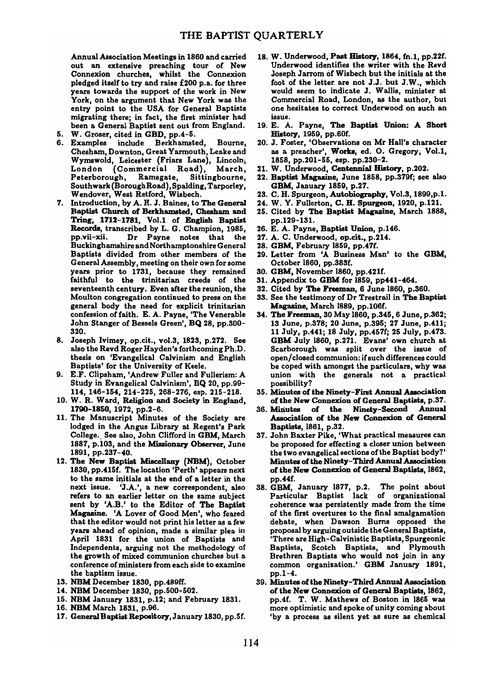Annual Association Meetings in 1860 and carried out an extensive preaching tour of New Connexion churches, whilst the Connexion pledged itself to try and raise £200 p.a. for three years towards the support of the work in New York, on the argument that New York was the entry point to the USA for General Baptists migrating there; in fact, the first minister had been a General Baptist sent out from England.

- 5. W. Groser, cited in GBD, pp.4-5. 6. Examples include Berkhamsted, Bourne,
- Examples include Berkhamsted, Bourne,<br>Chesham, Downton, Great Yarmouth, Leake and Wymswold, Leicester (Friars Lane), Lincoln, London (Commercial Road), March, Peterborough, Ramsgate, Sittingbourne, Southwark (Borough Road), Spalding, Tarporley, Wendover, West Retford, Wisbech.
- 7. Introduction, by A. H. J. Baines, to The General Baptist Church of Berkhamsted, Chesham and Tring, 1712-1781, Vol.1 of English Baptist Recorda, transcribed by L. G. Champion, 1985, pp.vii-xii. Dr Payne notes that the Buckinghamshire and Northamptonshire General Baptists divided from other members of the General Assembly, meeting on their own for some years prior to 1731, because they remained faithful to the trinitarian creeds of the seventeenth century. Even after the reunion, the Moulton congregation continued to press on the general body the need for explicit trinitarian confession of faith. E. A. Payne, 'The Venerable John Stanger of Bessels Green', BQ 28, pp.300- 320.
- 8. Joseph Ivimey, op.cit., vol.3, 1823, p.272. See also the Revd Roger Hayden's forthcoming Ph.D. thesis on 'Evangelical Calvinism and English Baptists' for the University of Keele.
- 9. E.F. Clipsham, 'Andrew Fuller and Fullerism: A Study in Evangelical Calvinism', BQ 20, pp.99- 114, 146-154, 214-225, 268-276, esp. 215-218.
- 10. W. R. Ward, Religion and Society in England, 1790-1850, 1972, pp.2-6. 11. The Manuscript Minutes of the Society are
- lodged in the Angus Library at Regent's Park College. See also, John Clifford in GBM, March 1887, p.103, and the Missionary Observer, June 1891, pp.237-40.
- 12. The New Baptist Miscellany (NBM), October 1830, pp.415f. The location 'Perth' appears next to the same initials at the end of a letter in the next issue. 'J.A.', a new correspondent, also refers to an earlier letter on the same subject sent by 'A.B.' to the Editor of The Baptist Magasine. 'A Lover of Good Men', who feared that the editor would not print his letter as a few years ahead of opinion, made a similar plea in April 1831 for the union of Baptists and Independents, arguing not the methodology of the growth of mixed communion churches but a conference of ministers from each side to examine the baptism issue.
- 13. NBM December 1830, pp.489ff.
- 14. NBM December 1830, pp.500-502.
- 15. NBM January 1831, p.12; and February 1831.
- 16. NBM March 1831, p.96.
- 17. General Baptist Repository, January 1830, pp. Sf.
- 18. W. Underwood, Past History, 1864, fn.1, pp.22f. Underwood identifies the writer with the Revd Joseph Jarrom of Wisbech but the initials at the foot of the letter are not J.J. but J.W., which would seem to indicate J. Wallis, minister at Commercial Road, London, as the author, but one hesitates to correct Underwood on such an **issue.**
- 19. E. A. Payne, The Baptist Union: A Short History, 1959, pp.60f.
- 20. J. Foster, 'Observations on Mr Hall's character as a preacher', Works, ed. O. Gregory, Vol.1, 1858, pp.201-55, esp. pp.230-2.
- 21. W. Underwood, Centennial History, p.202.
- 22. Baptist Magasine, June 1858, pp.379f; see also GBM, January 1859, p.27.
- 23. C. H. Spurgeon, Autobiography, Vol.3, 1899,p.1.
- 24. W. Y. Fullerton, C. H. Spurgeon, 1920, p.121.
- 25. Cited by The Baptist Magasine, March 1888, pp.129-131.
- 26. E. A. Payne, Baptist Union, p.146.
- 27. A. C. Underwood, op.cit., p.214.
- 28. GBM, February 1859, pp.47f.
- 29. Letter from 'A Business Man' to the GBM, October 1860, pp.383f.
- 30. GBM, November 1860, pp.42lf.
- 31. Appendix to GBM for 1859, pp441-464.
- 32. Cited by The Freeman, 6 June 1860, p.360.
- 33. See the testimony of Dr Trestrail in The Baptist Magasine, March 1889, pp.106f.
- 34. The Freeman, 30 May 1860, p.345, 6 June, p.362; 13 June, p.378; 20 June, p.395; 27 June, p.411; 11 July, p.441; 18 July, pp.457f; 25 July, p.473. GBM July 1860, p.271. Evans' own church at Scarborough was split over the issue of open/closed communion: if such differences could be coped with amongst the particulars, why was union with the generals not a practical possibility?
- 35. Minutes of the Ninety-Firat Annual Aaaociation of the. New Connexion of General Baptists, p.37.
- 36. Minutes of the Ninety-Second Annual Aaaociation of the New Connexion of General Baptists, 1861, p.32.
- 37. John Baxter Pike, 'What practical measures can be proposed for effecting a closer union between the two evangelical sections of the Baptist body?' Minutes of the Ninety-Third Annual Aaaociation of the New Connexion of General Baptists, 1862, pp.44f.
- 38. GBM, January 1877, p.2. The point about Particular Baptist lack of organizational coherence was persistently made from the time of the first overtures to the final amalgamation debate, when Dawson Burns opposed the proposal by arguing outside the General Baptists, 'There are High-Calvinistic Baptists, Spurgeonic Baptists, Scotch Baptists, and Plymouth Brethren Baptists who would not join in any common organization.' GBM January 1891, pp.1-4.
- 39. Minutes of the Ninety-Third Annual Association of the New Connexion of General Baptists, 1862, pp.4f. T. W. Mathews of Boston in 1865 was more optimistic and spoke of unity coming about . 'by a process as silent yet as sure as chemical